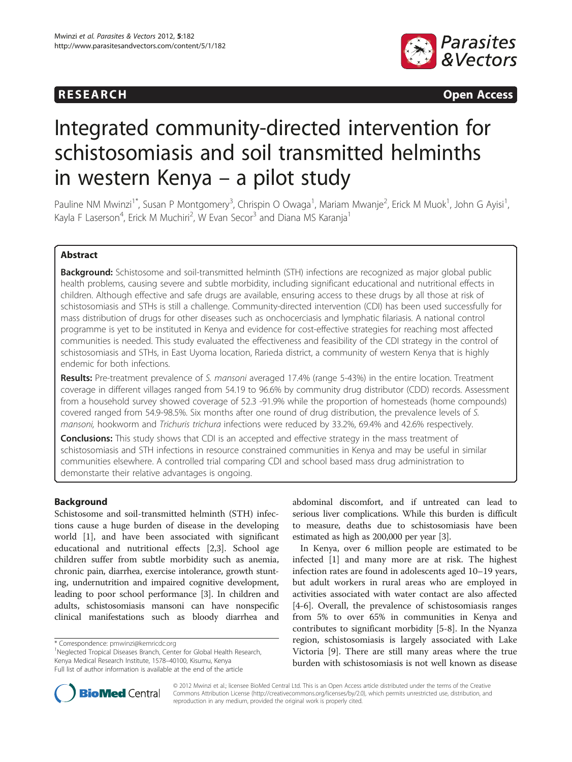# **RESEARCH CONSTRUCTED ACCESS**



# Integrated community-directed intervention for schistosomiasis and soil transmitted helminths in western Kenya – a pilot study

Pauline NM Mwinzi<sup>1\*</sup>, Susan P Montgomery<sup>3</sup>, Chrispin O Owaga<sup>1</sup>, Mariam Mwanje<sup>2</sup>, Erick M Muok<sup>1</sup>, John G Ayisi<sup>1</sup> , Kayla F Laserson<sup>4</sup>, Erick M Muchiri<sup>2</sup>, W Evan Secor<sup>3</sup> and Diana MS Karanja<sup>1</sup>

# Abstract

Background: Schistosome and soil-transmitted helminth (STH) infections are recognized as major global public health problems, causing severe and subtle morbidity, including significant educational and nutritional effects in children. Although effective and safe drugs are available, ensuring access to these drugs by all those at risk of schistosomiasis and STHs is still a challenge. Community-directed intervention (CDI) has been used successfully for mass distribution of drugs for other diseases such as onchocerciasis and lymphatic filariasis. A national control programme is yet to be instituted in Kenya and evidence for cost-effective strategies for reaching most affected communities is needed. This study evaluated the effectiveness and feasibility of the CDI strategy in the control of schistosomiasis and STHs, in East Uyoma location, Rarieda district, a community of western Kenya that is highly endemic for both infections.

Results: Pre-treatment prevalence of S. mansoni averaged 17.4% (range 5-43%) in the entire location. Treatment coverage in different villages ranged from 54.19 to 96.6% by community drug distributor (CDD) records. Assessment from a household survey showed coverage of 52.3 -91.9% while the proportion of homesteads (home compounds) covered ranged from 54.9-98.5%. Six months after one round of drug distribution, the prevalence levels of S. mansoni, hookworm and Trichuris trichura infections were reduced by 33.2%, 69.4% and 42.6% respectively.

**Conclusions:** This study shows that CDI is an accepted and effective strategy in the mass treatment of schistosomiasis and STH infections in resource constrained communities in Kenya and may be useful in similar communities elsewhere. A controlled trial comparing CDI and school based mass drug administration to demonstarte their relative advantages is ongoing.

# Background

Schistosome and soil-transmitted helminth (STH) infections cause a huge burden of disease in the developing world [\[1](#page-8-0)], and have been associated with significant educational and nutritional effects [\[2](#page-8-0),[3](#page-8-0)]. School age children suffer from subtle morbidity such as anemia, chronic pain, diarrhea, exercise intolerance, growth stunting, undernutrition and impaired cognitive development, leading to poor school performance [\[3\]](#page-8-0). In children and adults, schistosomiasis mansoni can have nonspecific clinical manifestations such as bloody diarrhea and

<sup>1</sup>Neglected Tropical Diseases Branch, Center for Global Health Research, Kenya Medical Research Institute, 1578–40100, Kisumu, Kenya Full list of author information is available at the end of the article

abdominal discomfort, and if untreated can lead to serious liver complications. While this burden is difficult to measure, deaths due to schistosomiasis have been estimated as high as 200,000 per year [\[3\]](#page-8-0).

In Kenya, over 6 million people are estimated to be infected [[1\]](#page-8-0) and many more are at risk. The highest infection rates are found in adolescents aged 10–19 years, but adult workers in rural areas who are employed in activities associated with water contact are also affected [[4-6](#page-8-0)]. Overall, the prevalence of schistosomiasis ranges from 5% to over 65% in communities in Kenya and contributes to significant morbidity [[5](#page-8-0)-[8\]](#page-8-0). In the Nyanza region, schistosomiasis is largely associated with Lake Victoria [[9\]](#page-8-0). There are still many areas where the true burden with schistosomiasis is not well known as disease



© 2012 Mwinzi et al.; licensee BioMed Central Ltd. This is an Open Access article distributed under the terms of the Creative Commons Attribution License ([http://creativecommons.org/licenses/by/2.0\)](http://creativecommons.org/licenses/by/2.0), which permits unrestricted use, distribution, and reproduction in any medium, provided the original work is properly cited.

<sup>\*</sup> Correspondence: [pmwinzi@kemricdc.org](mailto:pmwinzi@kemricdc.org) <sup>1</sup>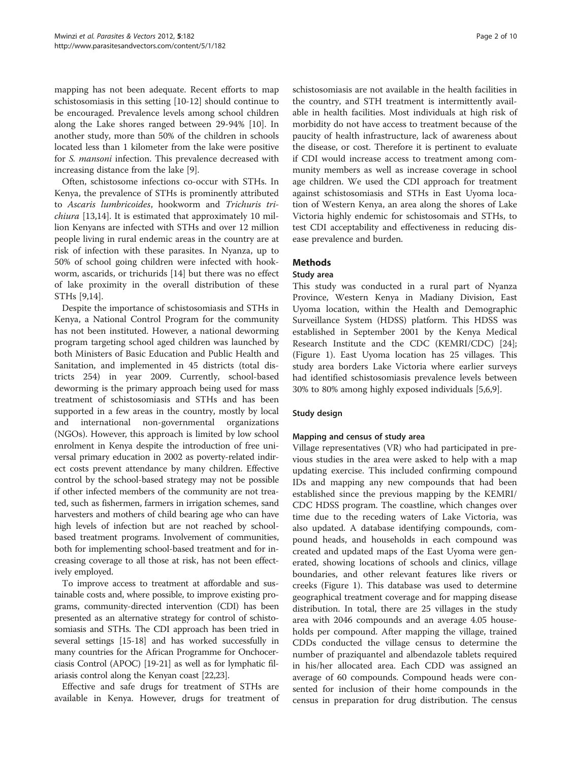mapping has not been adequate. Recent efforts to map schistosomiasis in this setting [\[10-12](#page-8-0)] should continue to be encouraged. Prevalence levels among school children along the Lake shores ranged between 29-94% [\[10](#page-8-0)]. In another study, more than 50% of the children in schools located less than 1 kilometer from the lake were positive for S. mansoni infection. This prevalence decreased with increasing distance from the lake [[9](#page-8-0)].

Often, schistosome infections co-occur with STHs. In Kenya, the prevalence of STHs is prominently attributed to Ascaris lumbricoides, hookworm and Trichuris trichiura [\[13,14\]](#page-9-0). It is estimated that approximately 10 million Kenyans are infected with STHs and over 12 million people living in rural endemic areas in the country are at risk of infection with these parasites. In Nyanza, up to 50% of school going children were infected with hookworm, ascarids, or trichurids [[14](#page-9-0)] but there was no effect of lake proximity in the overall distribution of these STHs [[9](#page-8-0),[14](#page-9-0)].

Despite the importance of schistosomiasis and STHs in Kenya, a National Control Program for the community has not been instituted. However, a national deworming program targeting school aged children was launched by both Ministers of Basic Education and Public Health and Sanitation, and implemented in 45 districts (total districts 254) in year 2009. Currently, school-based deworming is the primary approach being used for mass treatment of schistosomiasis and STHs and has been supported in a few areas in the country, mostly by local and international non-governmental organizations (NGOs). However, this approach is limited by low school enrolment in Kenya despite the introduction of free universal primary education in 2002 as poverty-related indirect costs prevent attendance by many children. Effective control by the school-based strategy may not be possible if other infected members of the community are not treated, such as fishermen, farmers in irrigation schemes, sand harvesters and mothers of child bearing age who can have high levels of infection but are not reached by schoolbased treatment programs. Involvement of communities, both for implementing school-based treatment and for increasing coverage to all those at risk, has not been effectively employed.

To improve access to treatment at affordable and sustainable costs and, where possible, to improve existing programs, community-directed intervention (CDI) has been presented as an alternative strategy for control of schistosomiasis and STHs. The CDI approach has been tried in several settings [\[15-18\]](#page-9-0) and has worked successfully in many countries for the African Programme for Onchocerciasis Control (APOC) [\[19](#page-9-0)-[21](#page-9-0)] as well as for lymphatic filariasis control along the Kenyan coast [\[22,23\]](#page-9-0).

Effective and safe drugs for treatment of STHs are available in Kenya. However, drugs for treatment of schistosomiasis are not available in the health facilities in the country, and STH treatment is intermittently available in health facilities. Most individuals at high risk of morbidity do not have access to treatment because of the paucity of health infrastructure, lack of awareness about the disease, or cost. Therefore it is pertinent to evaluate if CDI would increase access to treatment among community members as well as increase coverage in school age children. We used the CDI approach for treatment against schistosomiasis and STHs in East Uyoma location of Western Kenya, an area along the shores of Lake Victoria highly endemic for schistosomais and STHs, to test CDI acceptability and effectiveness in reducing disease prevalence and burden.

# Methods

## Study area

This study was conducted in a rural part of Nyanza Province, Western Kenya in Madiany Division, East Uyoma location, within the Health and Demographic Surveillance System (HDSS) platform. This HDSS was established in September 2001 by the Kenya Medical Research Institute and the CDC (KEMRI/CDC) [[24](#page-9-0)]; (Figure [1\)](#page-2-0). East Uyoma location has 25 villages. This study area borders Lake Victoria where earlier surveys had identified schistosomiasis prevalence levels between 30% to 80% among highly exposed individuals [[5,6,9\]](#page-8-0).

## Study design

#### Mapping and census of study area

Village representatives (VR) who had participated in previous studies in the area were asked to help with a map updating exercise. This included confirming compound IDs and mapping any new compounds that had been established since the previous mapping by the KEMRI/ CDC HDSS program. The coastline, which changes over time due to the receding waters of Lake Victoria, was also updated. A database identifying compounds, compound heads, and households in each compound was created and updated maps of the East Uyoma were generated, showing locations of schools and clinics, village boundaries, and other relevant features like rivers or creeks (Figure [1](#page-2-0)). This database was used to determine geographical treatment coverage and for mapping disease distribution. In total, there are 25 villages in the study area with 2046 compounds and an average 4.05 households per compound. After mapping the village, trained CDDs conducted the village census to determine the number of praziquantel and albendazole tablets required in his/her allocated area. Each CDD was assigned an average of 60 compounds. Compound heads were consented for inclusion of their home compounds in the census in preparation for drug distribution. The census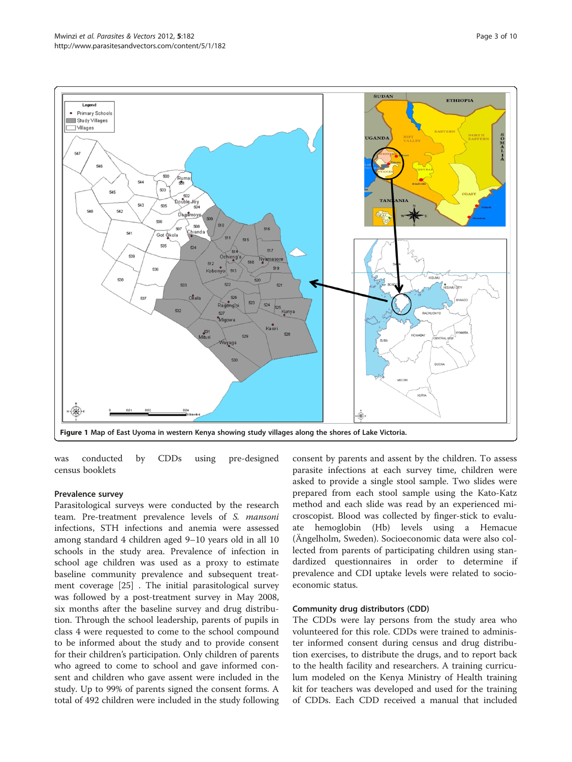<span id="page-2-0"></span>

was conducted by CDDs using pre-designed census booklets

#### Prevalence survey

Parasitological surveys were conducted by the research team. Pre-treatment prevalence levels of S. mansoni infections, STH infections and anemia were assessed among standard 4 children aged 9–10 years old in all 10 schools in the study area. Prevalence of infection in school age children was used as a proxy to estimate baseline community prevalence and subsequent treatment coverage [\[25](#page-9-0)] . The initial parasitological survey was followed by a post-treatment survey in May 2008, six months after the baseline survey and drug distribution. Through the school leadership, parents of pupils in class 4 were requested to come to the school compound to be informed about the study and to provide consent for their children's participation. Only children of parents who agreed to come to school and gave informed consent and children who gave assent were included in the study. Up to 99% of parents signed the consent forms. A total of 492 children were included in the study following

consent by parents and assent by the children. To assess parasite infections at each survey time, children were asked to provide a single stool sample. Two slides were prepared from each stool sample using the Kato-Katz method and each slide was read by an experienced microscopist. Blood was collected by finger-stick to evaluate hemoglobin (Hb) levels using a Hemacue (Ängelholm, Sweden). Socioeconomic data were also collected from parents of participating children using standardized questionnaires in order to determine if prevalence and CDI uptake levels were related to socioeconomic status.

#### Community drug distributors (CDD)

The CDDs were lay persons from the study area who volunteered for this role. CDDs were trained to administer informed consent during census and drug distribution exercises, to distribute the drugs, and to report back to the health facility and researchers. A training curriculum modeled on the Kenya Ministry of Health training kit for teachers was developed and used for the training of CDDs. Each CDD received a manual that included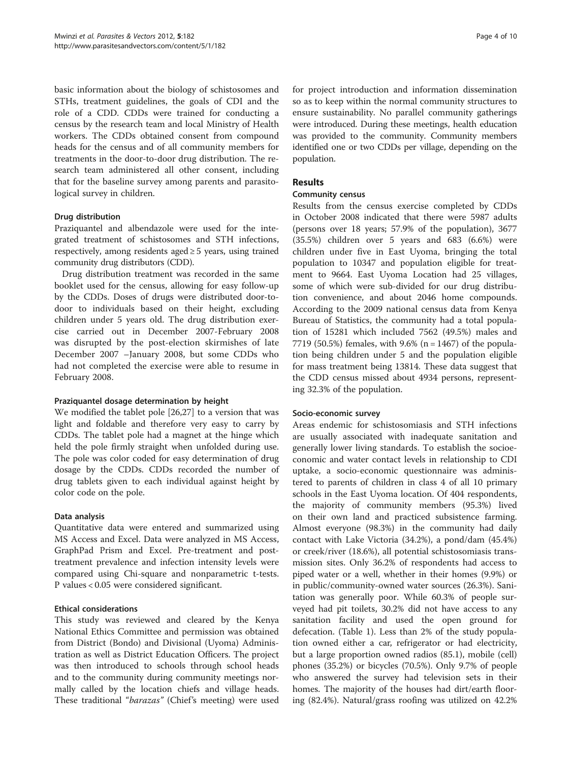basic information about the biology of schistosomes and STHs, treatment guidelines, the goals of CDI and the role of a CDD. CDDs were trained for conducting a census by the research team and local Ministry of Health workers. The CDDs obtained consent from compound heads for the census and of all community members for treatments in the door-to-door drug distribution. The research team administered all other consent, including that for the baseline survey among parents and parasitological survey in children.

## Drug distribution

Praziquantel and albendazole were used for the integrated treatment of schistosomes and STH infections, respectively, among residents aged  $\geq$  5 years, using trained community drug distributors (CDD).

Drug distribution treatment was recorded in the same booklet used for the census, allowing for easy follow-up by the CDDs. Doses of drugs were distributed door-todoor to individuals based on their height, excluding children under 5 years old. The drug distribution exercise carried out in December 2007-February 2008 was disrupted by the post-election skirmishes of late December 2007 –January 2008, but some CDDs who had not completed the exercise were able to resume in February 2008.

## Praziquantel dosage determination by height

We modified the tablet pole [[26,27](#page-9-0)] to a version that was light and foldable and therefore very easy to carry by CDDs. The tablet pole had a magnet at the hinge which held the pole firmly straight when unfolded during use. The pole was color coded for easy determination of drug dosage by the CDDs. CDDs recorded the number of drug tablets given to each individual against height by color code on the pole.

## Data analysis

Quantitative data were entered and summarized using MS Access and Excel. Data were analyzed in MS Access, GraphPad Prism and Excel. Pre-treatment and posttreatment prevalence and infection intensity levels were compared using Chi-square and nonparametric t-tests. P values < 0.05 were considered significant.

#### Ethical considerations

This study was reviewed and cleared by the Kenya National Ethics Committee and permission was obtained from District (Bondo) and Divisional (Uyoma) Administration as well as District Education Officers. The project was then introduced to schools through school heads and to the community during community meetings normally called by the location chiefs and village heads. These traditional "barazas" (Chief's meeting) were used

for project introduction and information dissemination so as to keep within the normal community structures to ensure sustainability. No parallel community gatherings were introduced. During these meetings, health education was provided to the community. Community members identified one or two CDDs per village, depending on the population.

#### Results

#### Community census

Results from the census exercise completed by CDDs in October 2008 indicated that there were 5987 adults (persons over 18 years; 57.9% of the population), 3677 (35.5%) children over 5 years and 683 (6.6%) were children under five in East Uyoma, bringing the total population to 10347 and population eligible for treatment to 9664. East Uyoma Location had 25 villages, some of which were sub-divided for our drug distribution convenience, and about 2046 home compounds. According to the 2009 national census data from Kenya Bureau of Statistics, the community had a total population of 15281 which included 7562 (49.5%) males and 7719 (50.5%) females, with 9.6% ( $n = 1467$ ) of the population being children under 5 and the population eligible for mass treatment being 13814. These data suggest that the CDD census missed about 4934 persons, representing 32.3% of the population.

## Socio-economic survey

Areas endemic for schistosomiasis and STH infections are usually associated with inadequate sanitation and generally lower living standards. To establish the socioeconomic and water contact levels in relationship to CDI uptake, a socio-economic questionnaire was administered to parents of children in class 4 of all 10 primary schools in the East Uyoma location. Of 404 respondents, the majority of community members (95.3%) lived on their own land and practiced subsistence farming. Almost everyone (98.3%) in the community had daily contact with Lake Victoria (34.2%), a pond/dam (45.4%) or creek/river (18.6%), all potential schistosomiasis transmission sites. Only 36.2% of respondents had access to piped water or a well, whether in their homes (9.9%) or in public/community-owned water sources (26.3%). Sanitation was generally poor. While 60.3% of people surveyed had pit toilets, 30.2% did not have access to any sanitation facility and used the open ground for defecation. (Table [1](#page-4-0)). Less than 2% of the study population owned either a car, refrigerator or had electricity, but a large proportion owned radios (85.1), mobile (cell) phones (35.2%) or bicycles (70.5%). Only 9.7% of people who answered the survey had television sets in their homes. The majority of the houses had dirt/earth flooring (82.4%). Natural/grass roofing was utilized on 42.2%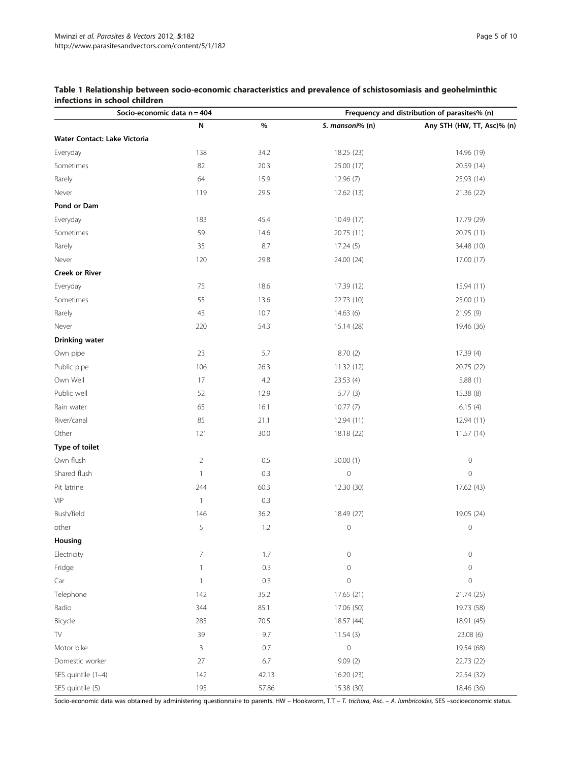|                              | Socio-economic data n = 404 |        |                 | Frequency and distribution of parasites% (n) |  |  |
|------------------------------|-----------------------------|--------|-----------------|----------------------------------------------|--|--|
|                              | N                           | %      | S. mansoni% (n) | Any STH (HW, TT, Asc)% (n)                   |  |  |
| Water Contact: Lake Victoria |                             |        |                 |                                              |  |  |
| Everyday                     | 138                         | 34.2   | 18.25 (23)      | 14.96 (19)                                   |  |  |
| Sometimes                    | 82                          | 20.3   | 25.00 (17)      | 20.59 (14)                                   |  |  |
| Rarely                       | 64                          | 15.9   | 12.96 (7)       | 25.93 (14)                                   |  |  |
| Never                        | 119                         | 29.5   | 12.62(13)       | 21.36 (22)                                   |  |  |
| Pond or Dam                  |                             |        |                 |                                              |  |  |
| Everyday                     | 183                         | 45.4   | 10.49 (17)      | 17.79 (29)                                   |  |  |
| Sometimes                    | 59                          | 14.6   | 20.75 (11)      | 20.75 (11)                                   |  |  |
| Rarely                       | 35                          | 8.7    | 17.24(5)        | 34.48 (10)                                   |  |  |
| Never                        | 120                         | 29.8   | 24.00 (24)      | 17.00 (17)                                   |  |  |
| <b>Creek or River</b>        |                             |        |                 |                                              |  |  |
| Everyday                     | 75                          | 18.6   | 17.39 (12)      | 15.94 (11)                                   |  |  |
| Sometimes                    | 55                          | 13.6   | 22.73 (10)      | 25.00 (11)                                   |  |  |
| Rarely                       | 43                          | 10.7   | 14.63(6)        | 21.95 (9)                                    |  |  |
| Never                        | 220                         | 54.3   | 15.14 (28)      | 19.46 (36)                                   |  |  |
| Drinking water               |                             |        |                 |                                              |  |  |
| Own pipe                     | 23                          | 5.7    | 8.70(2)         | 17.39(4)                                     |  |  |
| Public pipe                  | 106                         | 26.3   | 11.32 (12)      | 20.75 (22)                                   |  |  |
| Own Well                     | 17                          | 4.2    | 23.53 (4)       | 5.88(1)                                      |  |  |
| Public well                  | 52                          | 12.9   | 5.77(3)         | 15.38 (8)                                    |  |  |
| Rain water                   | 65                          | 16.1   | 10.77(7)        | 6.15(4)                                      |  |  |
| River/canal                  | 85                          | 21.1   | 12.94 (11)      | 12.94 (11)                                   |  |  |
| Other                        | 121                         | 30.0   | 18.18 (22)      | 11.57 (14)                                   |  |  |
| Type of toilet               |                             |        |                 |                                              |  |  |
| Own flush                    | $\overline{2}$              | 0.5    | 50.00(1)        | $\mathsf{O}\xspace$                          |  |  |
| Shared flush                 | $\mathbf{1}$                | 0.3    | $\mathbf 0$     | $\mathbf 0$                                  |  |  |
| Pit latrine                  | 244                         | 60.3   | 12.30 (30)      | 17.62 (43)                                   |  |  |
| VIP                          | $\mathbf{1}$                | 0.3    |                 |                                              |  |  |
| Bush/field                   | 146                         | 36.2   | 18.49 (27)      | 19.05 (24)                                   |  |  |
| other                        | 5                           | 1.2    | $\mathbf 0$     | $\mathbf 0$                                  |  |  |
| Housing                      |                             |        |                 |                                              |  |  |
| Electricity                  | 7                           | 1.7    | $\mathbf 0$     | 0                                            |  |  |
| Fridge                       | 1                           | 0.3    | 0               | 0                                            |  |  |
| Car                          | 1                           | 0.3    | $\mathbf 0$     | $\mathsf{O}\xspace$                          |  |  |
| Telephone                    | 142                         | 35.2   | 17.65 (21)      | 21.74 (25)                                   |  |  |
| Radio                        | 344                         | 85.1   | 17.06 (50)      | 19.73 (58)                                   |  |  |
| Bicycle                      | 285                         | $70.5$ | 18.57 (44)      | 18.91 (45)                                   |  |  |
| $\mathsf{TV}$                | 39                          | 9.7    | 11.54(3)        | 23.08 (6)                                    |  |  |
| Motor bike                   | 3                           | 0.7    | $\mathbf 0$     | 19.54 (68)                                   |  |  |
| Domestic worker              | 27                          | 6.7    | 9.09(2)         | 22.73 (22)                                   |  |  |
| SES quintile (1-4)           | 142                         | 42.13  | 16.20 (23)      | 22.54 (32)                                   |  |  |
| SES quintile (5)             | 195                         | 57.86  | 15.38 (30)      | 18.46 (36)                                   |  |  |

## <span id="page-4-0"></span>Table 1 Relationship between socio-economic characteristics and prevalence of schistosomiasis and geohelminthic infections in school children

Socio-economic data was obtained by administering questionnaire to parents. HW - Hookworm, T.T - T. trichura, Asc. - A. lumbricoides, SES -socioeconomic status.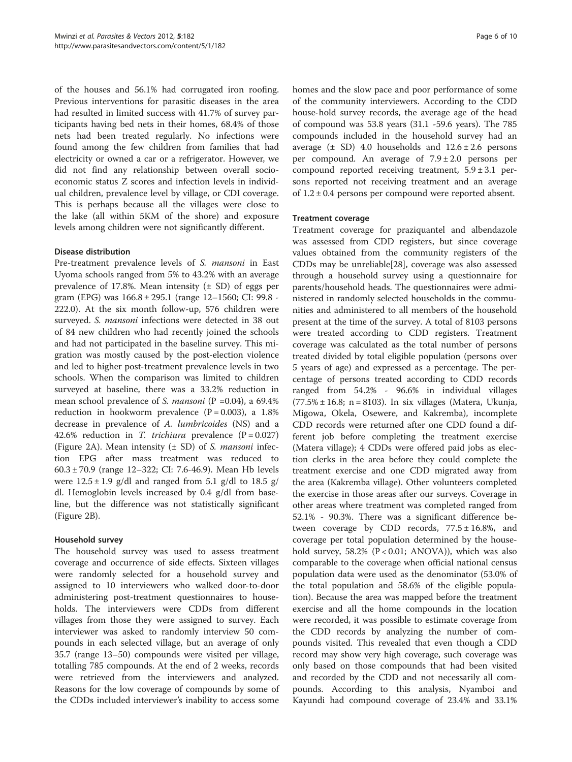of the houses and 56.1% had corrugated iron roofing. Previous interventions for parasitic diseases in the area had resulted in limited success with 41.7% of survey participants having bed nets in their homes, 68.4% of those nets had been treated regularly. No infections were found among the few children from families that had electricity or owned a car or a refrigerator. However, we did not find any relationship between overall socioeconomic status Z scores and infection levels in individual children, prevalence level by village, or CDI coverage. This is perhaps because all the villages were close to the lake (all within 5KM of the shore) and exposure levels among children were not significantly different.

#### Disease distribution

Pre-treatment prevalence levels of S. mansoni in East Uyoma schools ranged from 5% to 43.2% with an average prevalence of 17.8%. Mean intensity  $(\pm SD)$  of eggs per gram (EPG) was 166.8 ± 295.1 (range 12–1560; CI: 99.8 - 222.0). At the six month follow-up, 576 children were surveyed. S. mansoni infections were detected in 38 out of 84 new children who had recently joined the schools and had not participated in the baseline survey. This migration was mostly caused by the post-election violence and led to higher post-treatment prevalence levels in two schools. When the comparison was limited to children surveyed at baseline, there was a 33.2% reduction in mean school prevalence of S. mansoni (P = 0.04), a 69.4% reduction in hookworm prevalence  $(P = 0.003)$ , a 1.8% decrease in prevalence of A. lumbricoides (NS) and a 42.6% reduction in T. trichiura prevalence  $(P = 0.027)$ (Figure [2A](#page-6-0)). Mean intensity  $(\pm SD)$  of *S. mansoni* infection EPG after mass treatment was reduced to 60.3 ± 70.9 (range 12–322; CI: 7.6-46.9). Mean Hb levels were  $12.5 \pm 1.9$  g/dl and ranged from 5.1 g/dl to 18.5 g/ dl. Hemoglobin levels increased by 0.4 g/dl from baseline, but the difference was not statistically significant (Figure [2B](#page-6-0)).

#### Household survey

The household survey was used to assess treatment coverage and occurrence of side effects. Sixteen villages were randomly selected for a household survey and assigned to 10 interviewers who walked door-to-door administering post-treatment questionnaires to households. The interviewers were CDDs from different villages from those they were assigned to survey. Each interviewer was asked to randomly interview 50 compounds in each selected village, but an average of only 35.7 (range 13–50) compounds were visited per village, totalling 785 compounds. At the end of 2 weeks, records were retrieved from the interviewers and analyzed. Reasons for the low coverage of compounds by some of the CDDs included interviewer's inability to access some homes and the slow pace and poor performance of some of the community interviewers. According to the CDD house-hold survey records, the average age of the head of compound was 53.8 years (31.1 -59.6 years). The 785 compounds included in the household survey had an average  $(\pm$  SD) 4.0 households and  $12.6 \pm 2.6$  persons per compound. An average of  $7.9 \pm 2.0$  persons per compound reported receiving treatment,  $5.9 \pm 3.1$  persons reported not receiving treatment and an average of  $1.2 \pm 0.4$  persons per compound were reported absent.

#### Treatment coverage

Treatment coverage for praziquantel and albendazole was assessed from CDD registers, but since coverage values obtained from the community registers of the CDDs may be unreliable[[28](#page-9-0)], coverage was also assessed through a household survey using a questionnaire for parents/household heads. The questionnaires were administered in randomly selected households in the communities and administered to all members of the household present at the time of the survey. A total of 8103 persons were treated according to CDD registers. Treatment coverage was calculated as the total number of persons treated divided by total eligible population (persons over 5 years of age) and expressed as a percentage. The percentage of persons treated according to CDD records ranged from 54.2% - 96.6% in individual villages  $(77.5\% \pm 16.8; n = 8103)$ . In six villages (Matera, Ukunja, Migowa, Okela, Osewere, and Kakremba), incomplete CDD records were returned after one CDD found a different job before completing the treatment exercise (Matera village); 4 CDDs were offered paid jobs as election clerks in the area before they could complete the treatment exercise and one CDD migrated away from the area (Kakremba village). Other volunteers completed the exercise in those areas after our surveys. Coverage in other areas where treatment was completed ranged from 52.1% - 90.3%. There was a significant difference between coverage by CDD records, 77.5 ± 16.8%, and coverage per total population determined by the household survey,  $58.2\%$  (P < 0.01; ANOVA)), which was also comparable to the coverage when official national census population data were used as the denominator (53.0% of the total population and 58.6% of the eligible population). Because the area was mapped before the treatment exercise and all the home compounds in the location were recorded, it was possible to estimate coverage from the CDD records by analyzing the number of compounds visited. This revealed that even though a CDD record may show very high coverage, such coverage was only based on those compounds that had been visited and recorded by the CDD and not necessarily all compounds. According to this analysis, Nyamboi and Kayundi had compound coverage of 23.4% and 33.1%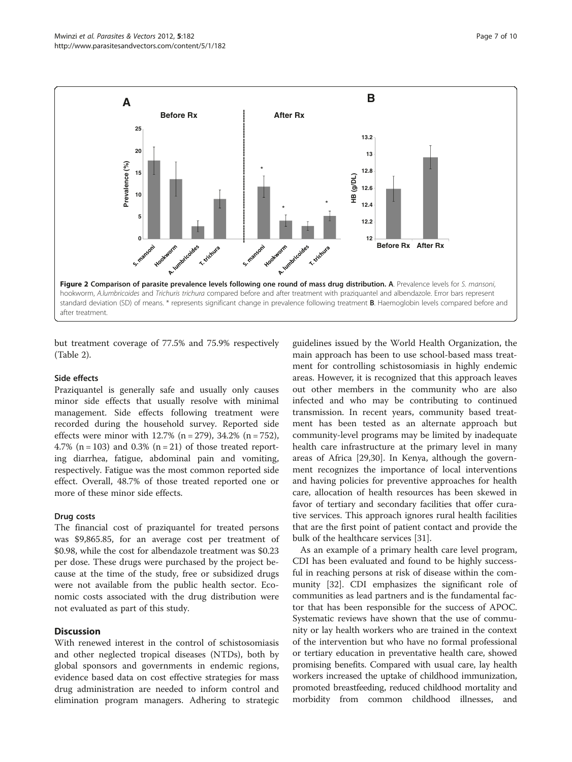<span id="page-6-0"></span>

but treatment coverage of 77.5% and 75.9% respectively (Table [2\)](#page-7-0).

#### Side effects

Praziquantel is generally safe and usually only causes minor side effects that usually resolve with minimal management. Side effects following treatment were recorded during the household survey. Reported side effects were minor with 12.7% (n = 279), 34.2% (n = 752), 4.7% ( $n = 103$ ) and 0.3% ( $n = 21$ ) of those treated reporting diarrhea, fatigue, abdominal pain and vomiting, respectively. Fatigue was the most common reported side effect. Overall, 48.7% of those treated reported one or more of these minor side effects.

#### Drug costs

The financial cost of praziquantel for treated persons was \$9,865.85, for an average cost per treatment of \$0.98, while the cost for albendazole treatment was \$0.23 per dose. These drugs were purchased by the project because at the time of the study, free or subsidized drugs were not available from the public health sector. Economic costs associated with the drug distribution were not evaluated as part of this study.

# **Discussion**

With renewed interest in the control of schistosomiasis and other neglected tropical diseases (NTDs), both by global sponsors and governments in endemic regions, evidence based data on cost effective strategies for mass drug administration are needed to inform control and elimination program managers. Adhering to strategic

guidelines issued by the World Health Organization, the main approach has been to use school-based mass treatment for controlling schistosomiasis in highly endemic areas. However, it is recognized that this approach leaves out other members in the community who are also infected and who may be contributing to continued transmission. In recent years, community based treatment has been tested as an alternate approach but community-level programs may be limited by inadequate health care infrastructure at the primary level in many areas of Africa [\[29,30\]](#page-9-0). In Kenya, although the government recognizes the importance of local interventions and having policies for preventive approaches for health care, allocation of health resources has been skewed in favor of tertiary and secondary facilities that offer curative services. This approach ignores rural health facilities that are the first point of patient contact and provide the bulk of the healthcare services [\[31](#page-9-0)].

As an example of a primary health care level program, CDI has been evaluated and found to be highly successful in reaching persons at risk of disease within the community [\[32](#page-9-0)]. CDI emphasizes the significant role of communities as lead partners and is the fundamental factor that has been responsible for the success of APOC. Systematic reviews have shown that the use of community or lay health workers who are trained in the context of the intervention but who have no formal professional or tertiary education in preventative health care, showed promising benefits. Compared with usual care, lay health workers increased the uptake of childhood immunization, promoted breastfeeding, reduced childhood mortality and morbidity from common childhood illnesses, and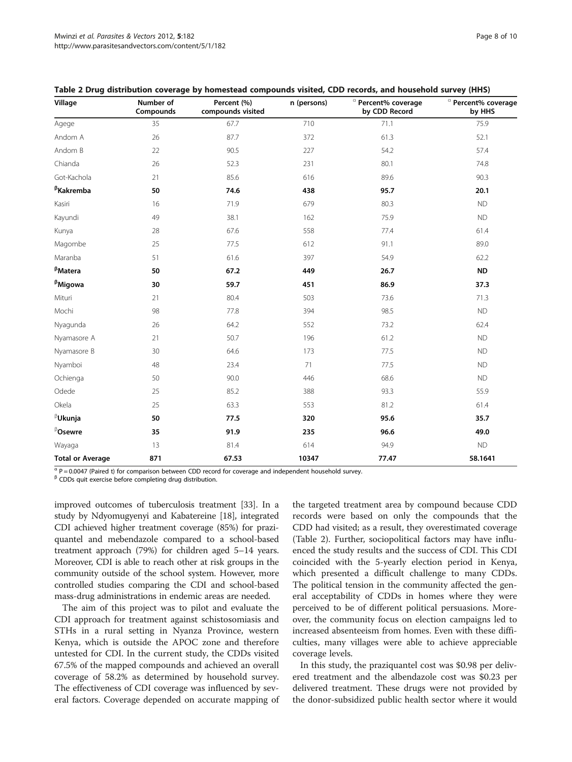| Village                 | Number of<br>Compounds | Percent (%)<br>compounds visited | n (persons) | <sup>a</sup> Percent% coverage<br>by CDD Record | <sup>a</sup> Percent% coverage<br>by HHS |
|-------------------------|------------------------|----------------------------------|-------------|-------------------------------------------------|------------------------------------------|
| Agege                   | 35                     | 67.7                             | 710         | 71.1                                            | 75.9                                     |
| Andom A                 | 26                     | 87.7                             | 372         | 61.3                                            | 52.1                                     |
| Andom B                 | 22                     | 90.5                             | 227         | 54.2                                            | 57.4                                     |
| Chianda                 | 26                     | 52.3                             | 231         | 80.1                                            | 74.8                                     |
| Got-Kachola             | 21                     | 85.6                             | 616         | 89.6                                            | 90.3                                     |
| <sup>B</sup> Kakremba   | 50                     | 74.6                             | 438         | 95.7                                            | 20.1                                     |
| Kasiri                  | 16                     | 71.9                             | 679         | 80.3                                            | <b>ND</b>                                |
| Kayundi                 | 49                     | 38.1                             | 162         | 75.9                                            | <b>ND</b>                                |
| Kunya                   | 28                     | 67.6                             | 558         | 77.4                                            | 61.4                                     |
| Magombe                 | 25                     | 77.5                             | 612         | 91.1                                            | 89.0                                     |
| Maranba                 | 51                     | 61.6                             | 397         | 54.9                                            | 62.2                                     |
| $β$ Matera              | 50                     | 67.2                             | 449         | 26.7                                            | <b>ND</b>                                |
| <sup>B</sup> Migowa     | 30                     | 59.7                             | 451         | 86.9                                            | 37.3                                     |
| Mituri                  | 21                     | 80.4                             | 503         | 73.6                                            | 71.3                                     |
| Mochi                   | 98                     | 77.8                             | 394         | 98.5                                            | <b>ND</b>                                |
| Nyagunda                | 26                     | 64.2                             | 552         | 73.2                                            | 62.4                                     |
| Nyamasore A             | 21                     | 50.7                             | 196         | 61.2                                            | <b>ND</b>                                |
| Nyamasore B             | 30                     | 64.6                             | 173         | 77.5                                            | ${\sf ND}$                               |
| Nyamboi                 | 48                     | 23.4                             | 71          | 77.5                                            | <b>ND</b>                                |
| Ochienga                | 50                     | 90.0                             | 446         | 68.6                                            | <b>ND</b>                                |
| Odede                   | 25                     | 85.2                             | 388         | 93.3                                            | 55.9                                     |
| Okela                   | 25                     | 63.3                             | 553         | 81.2                                            | 61.4                                     |
| <sup>B</sup> Ukunja     | 50                     | 77.5                             | 320         | 95.6                                            | 35.7                                     |
| <sup>B</sup> Osewre     | 35                     | 91.9                             | 235         | 96.6                                            | 49.0                                     |
| Wayaga                  | 13                     | 81.4                             | 614         | 94.9                                            | ${\sf ND}$                               |
| <b>Total or Average</b> | 871                    | 67.53                            | 10347       | 77.47                                           | 58.1641                                  |

<span id="page-7-0"></span>

| Table 2 Drug distribution coverage by homestead compounds visited, CDD records, and household survey (HHS) |  |  |  |
|------------------------------------------------------------------------------------------------------------|--|--|--|
|------------------------------------------------------------------------------------------------------------|--|--|--|

 $\overline{a}$  P = 0.0047 (Paired t) for comparison between CDD record for coverage and independent household survey.

 $β$  CDDs quit exercise before completing drug distribution.

improved outcomes of tuberculosis treatment [[33](#page-9-0)]. In a study by Ndyomugyenyi and Kabatereine [\[18\]](#page-9-0), integrated CDI achieved higher treatment coverage (85%) for praziquantel and mebendazole compared to a school-based treatment approach (79%) for children aged 5–14 years. Moreover, CDI is able to reach other at risk groups in the community outside of the school system. However, more controlled studies comparing the CDI and school-based mass-drug administrations in endemic areas are needed.

The aim of this project was to pilot and evaluate the CDI approach for treatment against schistosomiasis and STHs in a rural setting in Nyanza Province, western Kenya, which is outside the APOC zone and therefore untested for CDI. In the current study, the CDDs visited 67.5% of the mapped compounds and achieved an overall coverage of 58.2% as determined by household survey. The effectiveness of CDI coverage was influenced by several factors. Coverage depended on accurate mapping of

the targeted treatment area by compound because CDD records were based on only the compounds that the CDD had visited; as a result, they overestimated coverage (Table 2). Further, sociopolitical factors may have influenced the study results and the success of CDI. This CDI coincided with the 5-yearly election period in Kenya, which presented a difficult challenge to many CDDs. The political tension in the community affected the general acceptability of CDDs in homes where they were perceived to be of different political persuasions. Moreover, the community focus on election campaigns led to increased absenteeism from homes. Even with these difficulties, many villages were able to achieve appreciable coverage levels.

In this study, the praziquantel cost was \$0.98 per delivered treatment and the albendazole cost was \$0.23 per delivered treatment. These drugs were not provided by the donor-subsidized public health sector where it would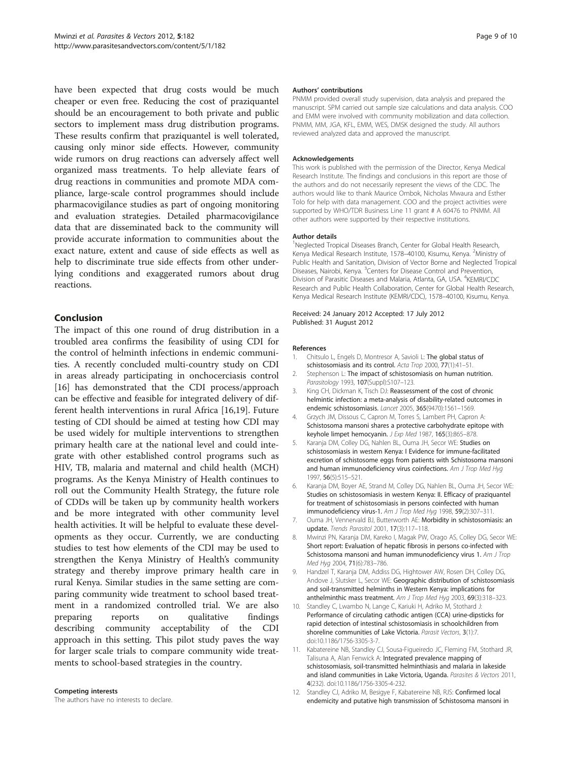<span id="page-8-0"></span>have been expected that drug costs would be much cheaper or even free. Reducing the cost of praziquantel should be an encouragement to both private and public sectors to implement mass drug distribution programs. These results confirm that praziquantel is well tolerated, causing only minor side effects. However, community wide rumors on drug reactions can adversely affect well organized mass treatments. To help alleviate fears of drug reactions in communities and promote MDA compliance, large-scale control programmes should include pharmacovigilance studies as part of ongoing monitoring and evaluation strategies. Detailed pharmacovigilance data that are disseminated back to the community will provide accurate information to communities about the exact nature, extent and cause of side effects as well as help to discriminate true side effects from other underlying conditions and exaggerated rumors about drug reactions.

## Conclusion

The impact of this one round of drug distribution in a troubled area confirms the feasibility of using CDI for the control of helminth infections in endemic communities. A recently concluded multi-country study on CDI in areas already participating in onchocerciasis control [[16\]](#page-9-0) has demonstrated that the CDI process/approach can be effective and feasible for integrated delivery of different health interventions in rural Africa [[16,19](#page-9-0)]. Future testing of CDI should be aimed at testing how CDI may be used widely for multiple interventions to strengthen primary health care at the national level and could integrate with other established control programs such as HIV, TB, malaria and maternal and child health (MCH) programs. As the Kenya Ministry of Health continues to roll out the Community Health Strategy, the future role of CDDs will be taken up by community health workers and be more integrated with other community level health activities. It will be helpful to evaluate these developments as they occur. Currently, we are conducting studies to test how elements of the CDI may be used to strengthen the Kenya Ministry of Health's community strategy and thereby improve primary health care in rural Kenya. Similar studies in the same setting are comparing community wide treatment to school based treatment in a randomized controlled trial. We are also preparing reports on qualitative findings describing community acceptability of the CDI approach in this setting. This pilot study paves the way for larger scale trials to compare community wide treatments to school-based strategies in the country.

#### Competing interests

The authors have no interests to declare.

#### Authors' contributions

PNMM provided overall study supervision, data analysis and prepared the manuscript. SPM carried out sample size calculations and data analysis. COO and EMM were involved with community mobilization and data collection. PNMM, MM, JGA, KFL, EMM, WES, DMSK designed the study. All authors reviewed analyzed data and approved the manuscript.

#### Acknowledgements

This work is published with the permission of the Director, Kenya Medical Research Institute. The findings and conclusions in this report are those of the authors and do not necessarily represent the views of the CDC. The authors would like to thank Maurice Ombok, Nicholas Mwaura and Esther Tolo for help with data management. COO and the project activities were supported by WHO/TDR Business Line 11 grant # A 60476 to PNMM. All other authors were supported by their respective institutions.

#### Author details

<sup>1</sup>Neglected Tropical Diseases Branch, Center for Global Health Research, Kenya Medical Research Institute, 1578-40100, Kisumu, Kenya. <sup>2</sup>Ministry of Public Health and Sanitation, Division of Vector Borne and Neglected Tropical Diseases, Nairobi, Kenya. <sup>3</sup>Centers for Disease Control and Prevention, Division of Parasitic Diseases and Malaria, Atlanta, GA, USA. <sup>4</sup>KEMRI/CDC Research and Public Health Collaboration, Center for Global Health Research, Kenya Medical Research Institute (KEMRI/CDC), 1578–40100, Kisumu, Kenya.

#### Received: 24 January 2012 Accepted: 17 July 2012 Published: 31 August 2012

#### References

- 1. Chitsulo L, Engels D, Montresor A, Savioli L: The global status of schistosomiasis and its control. Acta Trop 2000, 77(1):41–51.
- 2. Stephenson L: The impact of schistosomiasis on human nutrition. Parasitology 1993, 107(Suppl):S107–123.
- King CH, Dickman K, Tisch DJ: Reassessment of the cost of chronic helmintic infection: a meta-analysis of disability-related outcomes in endemic schistosomiasis. Lancet 2005, 365(9470):1561–1569.
- 4. Grzych JM, Dissous C, Capron M, Torres S, Lambert PH, Capron A: Schistosoma mansoni shares a protective carbohydrate epitope with keyhole limpet hemocyanin. J Exp Med 1987, 165(3):865–878.
- 5. Karanja DM, Colley DG, Nahlen BL, Ouma JH, Secor WE: Studies on schistosomiasis in western Kenya: I Evidence for immune-facilitated excretion of schistosome eggs from patients with Schistosoma mansoni and human immunodeficiency virus coinfections. Am J Trop Med Hyg 1997, 56(5):515–521.
- Karanja DM, Boyer AE, Strand M, Colley DG, Nahlen BL, Ouma JH, Secor WE: Studies on schistosomiasis in western Kenya: II. Efficacy of praziquantel for treatment of schistosomiasis in persons coinfected with human immunodeficiency virus-1. Am J Trop Med Hyg 1998, 59(2):307–311.
- 7. Ouma JH, Vennervald BJ, Butterworth AE: Morbidity in schistosomiasis: an update. Trends Parasitol 2001, 17(3):117–118.
- 8. Mwinzi PN, Karanja DM, Kareko I, Magak PW, Orago AS, Colley DG, Secor WE: Short report: Evaluation of hepatic fibrosis in persons co-infected with Schistosoma mansoni and human immunodeficiency virus 1. Am J Trop Med Hyg 2004, 71(6):783–786.
- 9. Handzel T, Karanja DM, Addiss DG, Hightower AW, Rosen DH, Colley DG, Andove J, Slutsker L, Secor WE: Geographic distribution of schistosomiasis and soil-transmitted helminths in Western Kenya: implications for anthelminthic mass treatment. Am J Trop Med Hyg 2003, 69(3):318–323.
- 10. Standley C, Lwambo N, Lange C, Kariuki H, Adriko M, Stothard J: Performance of circulating cathodic antigen (CCA) urine-dipsticks for rapid detection of intestinal schistosomiasis in schoolchildren from shoreline communities of Lake Victoria. Parasit Vectors, 3(1):7. doi:[10.1186/1756-3305-3-7](http://dx.doi.org/10.1186/1756-3305-3-7).
- 11. Kabatereine NB, Standley CJ, Sousa-Figueiredo JC, Fleming FM, Stothard JR, Talisuna A, Alan Fenwick A: Integrated prevalence mapping of schistosomiasis, soil-transmitted helminthiasis and malaria in lakeside and island communities in Lake Victoria, Uganda. Parasites & Vectors 2011, 4(232). doi:[10.1186/1756-3305-4-232.](http://dx.doi.org/10.1186/1756-3305-4-232)
- 12. Standley CJ, Adriko M, Besigye F, Kabatereine NB, RJS: Confirmed local endemicity and putative high transmission of Schistosoma mansoni in